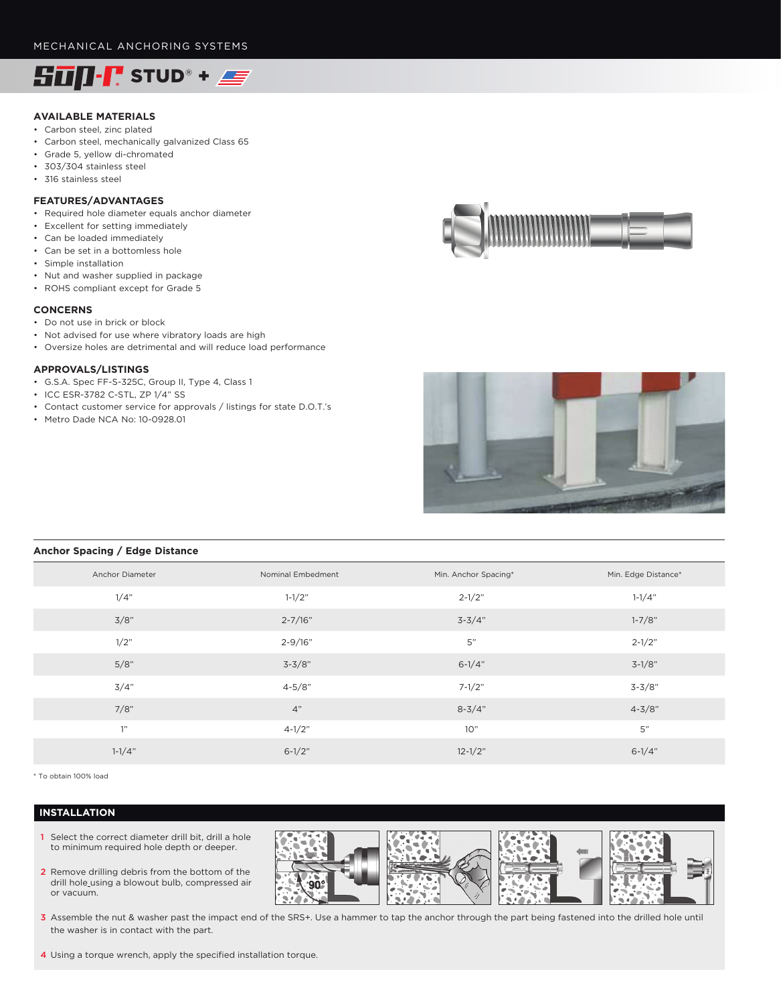

# **AVAILABLE MATERIALS**

- Carbon steel, zinc plated
- Carbon steel, mechanically galvanized Class 65
- Grade 5, yellow di-chromated
- 303/304 stainless steel
- 316 stainless steel

## **FEATURES/ADVANTAGES**

- Required hole diameter equals anchor diameter
- Excellent for setting immediately
- Can be loaded immediately
- Can be set in a bottomless hole
- Simple installation
- Nut and washer supplied in package
- ROHS compliant except for Grade 5

#### **CONCERNS**

- Do not use in brick or block
- Not advised for use where vibratory loads are high
- Oversize holes are detrimental and will reduce load performance

# **APPROVALS/LISTINGS**

- G.S.A. Spec FF-S-325C, Group II, Type 4, Class 1
- ICC ESR-3782 C-STL, ZP 1/4" SS
- Contact customer service for approvals / listings for state D.O.T.'s
- Metro Dade NCA No: 10-0928.01





# **Anchor Spacing / Edge Distance**

| Anchor Diameter | Nominal Embedment | Min. Anchor Spacing* | Min. Edge Distance* |
|-----------------|-------------------|----------------------|---------------------|
| 1/4"            | $1 - 1/2"$        | $2 - 1/2"$           | $1 - 1/4"$          |
| 3/8"            | $2 - 7/16"$       | $3 - 3/4"$           | $1 - 7/8"$          |
| 1/2"            | $2 - 9/16"$       | 5"                   | $2 - 1/2"$          |
| 5/8"            | $3 - 3/8"$        | $6 - 1/4"$           | $3-1/8"$            |
| 3/4"            | $4 - 5/8"$        | $7 - 1/2"$           | $3 - 3/8"$          |
| 7/8"            | 4"                | $8 - 3/4"$           | $4 - 3/8"$          |
| 1"              | $4 - 1/2"$        | 10"                  | 5"                  |
| $1 - 1/4"$      | $6 - 1/2"$        | $12 - 1/2"$          | $6 - 1/4"$          |
|                 |                   |                      |                     |

\* To obtain 100% load

### **INSTALLATION**

- 1 Select the correct diameter drill bit, drill a hole to minimum required hole depth or deeper.
- 2 Remove drilling debris from the bottom of the drill hole\_using a blowout bulb, compressed air or vacuum.



- 3 Assemble the nut & washer past the impact end of the SRS+. Use a hammer to tap the anchor through the part being fastened into the drilled hole until the washer is in contact with the part.
- 4 Using a torque wrench, apply the specified installation torque.